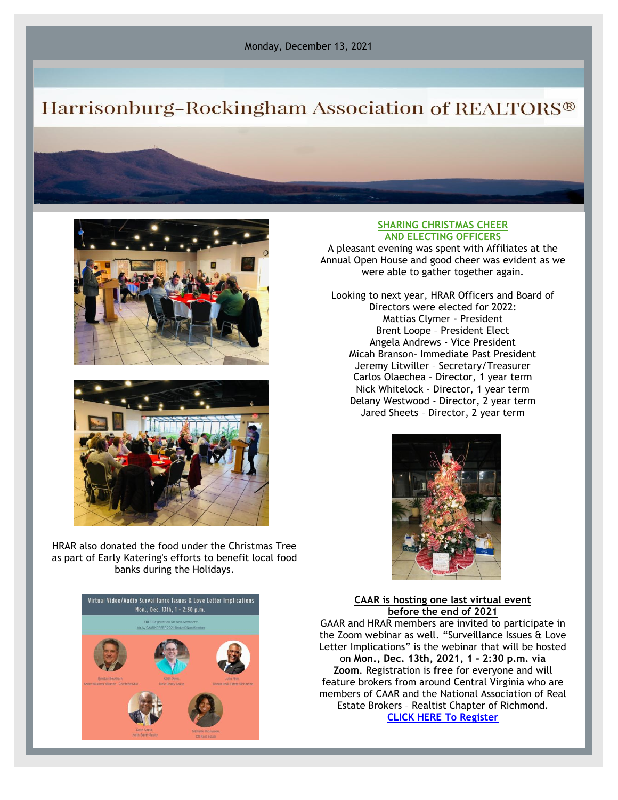# Harrisonburg-Rockingham Association of REALTORS®





HRAR also donated the food under the Christmas Tree as part of Early Katering's efforts to benefit local food banks during the Holidays.



#### **SHARING CHRISTMAS CHEER AND ELECTING OFFICERS**

A pleasant evening was spent with Affiliates at the Annual Open House and good cheer was evident as we were able to gather together again.

Looking to next year, HRAR Officers and Board of Directors were elected for 2022: Mattias Clymer - President Brent Loope – President Elect Angela Andrews - Vice President Micah Branson– Immediate Past President Jeremy Litwiller – Secretary/Treasurer Carlos Olaechea – Director, 1 year term Nick Whitelock – Director, 1 year term Delany Westwood - Director, 2 year term Jared Sheets – Director, 2 year term



#### **CAAR is hosting one last virtual event before the end of 2021**

GAAR and HRAR members are invited to participate in the Zoom webinar as well. "Surveillance Issues & Love Letter Implications" is the webinar that will be hosted on **Mon., Dec. 13th, 2021, 1 - 2:30 p.m. via Zoom**. Registration is **free** for everyone and will feature brokers from around Central Virginia who are members of CAAR and the National Association of Real Estate Brokers – Realtist Chapter of Richmond. **[CLICK HERE To Register](https://www.surveymonkey.com/r/GZ8NRYD)**